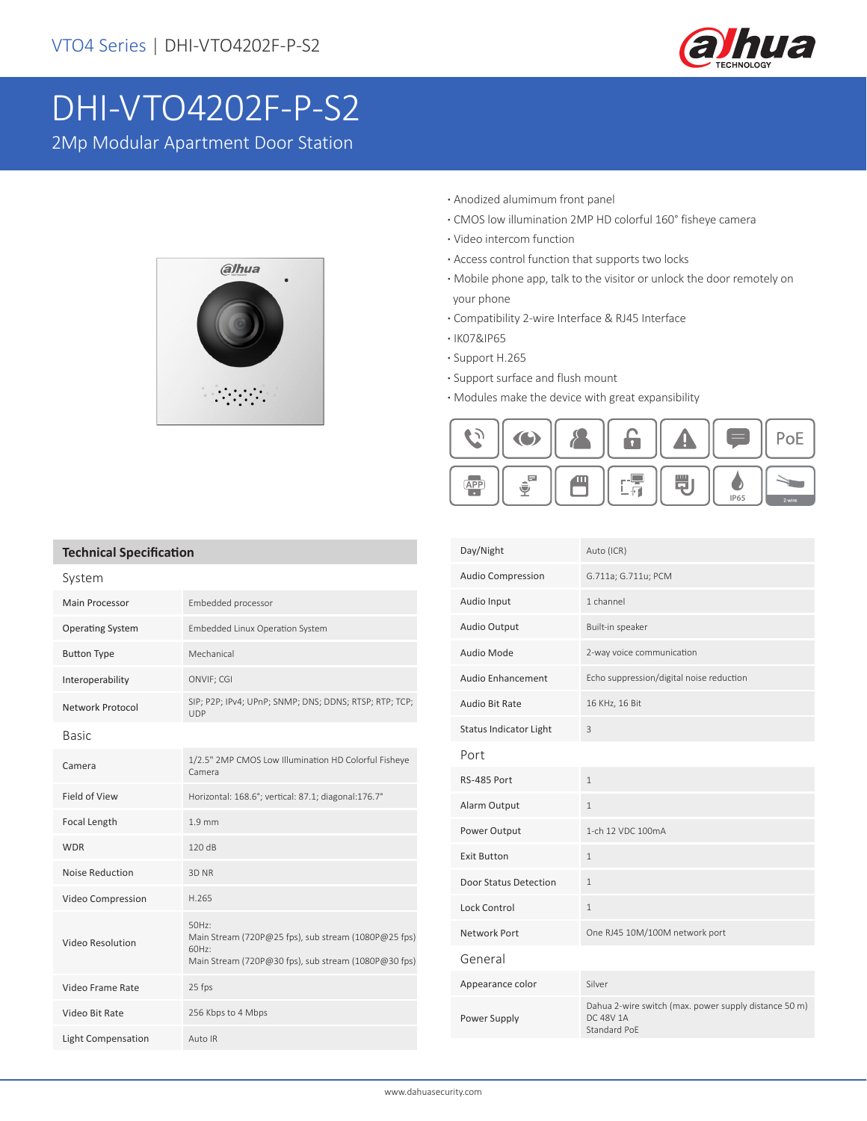

# DHI-VTO4202F-P-S2

2Mp Modular Apartment Door Station



- **·** Anodized alumimum front panel
- **·** CMOS low illumination 2MP HD colorful 160° fisheye camera
- **·** Video intercom function
- **·** Access control function that supports two locks
- **·** Mobile phone app, talk to the visitor or unlock the door remotely on your phone
- **·** Compatibility 2-wire Interface & RJ45 Interface
- **·** IK07&IP65
- **·** Support H.265
- **·** Support surface and flush mount
- **·** Modules make the device with great expansibility



#### **Technical Specification**

| System                    |                                                                                                                                   |  |  |
|---------------------------|-----------------------------------------------------------------------------------------------------------------------------------|--|--|
| <b>Main Processor</b>     | Embedded processor                                                                                                                |  |  |
| <b>Operating System</b>   | Embedded Linux Operation System                                                                                                   |  |  |
| <b>Button Type</b>        | Mechanical                                                                                                                        |  |  |
| Interoperability          | ONVIF; CGI                                                                                                                        |  |  |
| Network Protocol          | SIP; P2P; IPv4; UPnP; SNMP; DNS; DDNS; RTSP; RTP; TCP;<br><b>UDP</b>                                                              |  |  |
| <b>Rasic</b>              |                                                                                                                                   |  |  |
| Camera                    | 1/2.5" 2MP CMOS Low Illumination HD Colorful Fisheye<br>Camera                                                                    |  |  |
| Field of View             | Horizontal: 168.6°; vertical: 87.1; diagonal:176.7°                                                                               |  |  |
| Focal Length              | 1.9 <sub>mm</sub>                                                                                                                 |  |  |
| <b>WDR</b>                | 120dB                                                                                                                             |  |  |
| <b>Noise Reduction</b>    | 3D NR                                                                                                                             |  |  |
| Video Compression         | H.265                                                                                                                             |  |  |
| <b>Video Resolution</b>   | $50Hz$ :<br>Main Stream (720P@25 fps), sub stream (1080P@25 fps)<br>60Hz:<br>Main Stream (720P@30 fps), sub stream (1080P@30 fps) |  |  |
| Video Frame Rate          | 25 fps                                                                                                                            |  |  |
| Video Bit Rate            | 256 Kbps to 4 Mbps                                                                                                                |  |  |
| <b>Light Compensation</b> | Auto IR                                                                                                                           |  |  |

| Auto (ICR)                                                                         |
|------------------------------------------------------------------------------------|
| G.711a; G.711u; PCM                                                                |
| 1 channel                                                                          |
| Built-in speaker                                                                   |
| 2-way voice communication                                                          |
| Echo suppression/digital noise reduction                                           |
| 16 KHz, 16 Bit                                                                     |
| 3                                                                                  |
|                                                                                    |
| $\mathbf{1}$                                                                       |
| $\mathbf{1}$                                                                       |
| 1-ch 12 VDC 100mA                                                                  |
| $\mathbf{1}$                                                                       |
| $\mathbf{1}$                                                                       |
| $\mathbf{1}$                                                                       |
| One RJ45 10M/100M network port                                                     |
|                                                                                    |
| Silver                                                                             |
| Dahua 2-wire switch (max. power supply distance 50 m)<br>DC 48V 1A<br>Standard PoE |
|                                                                                    |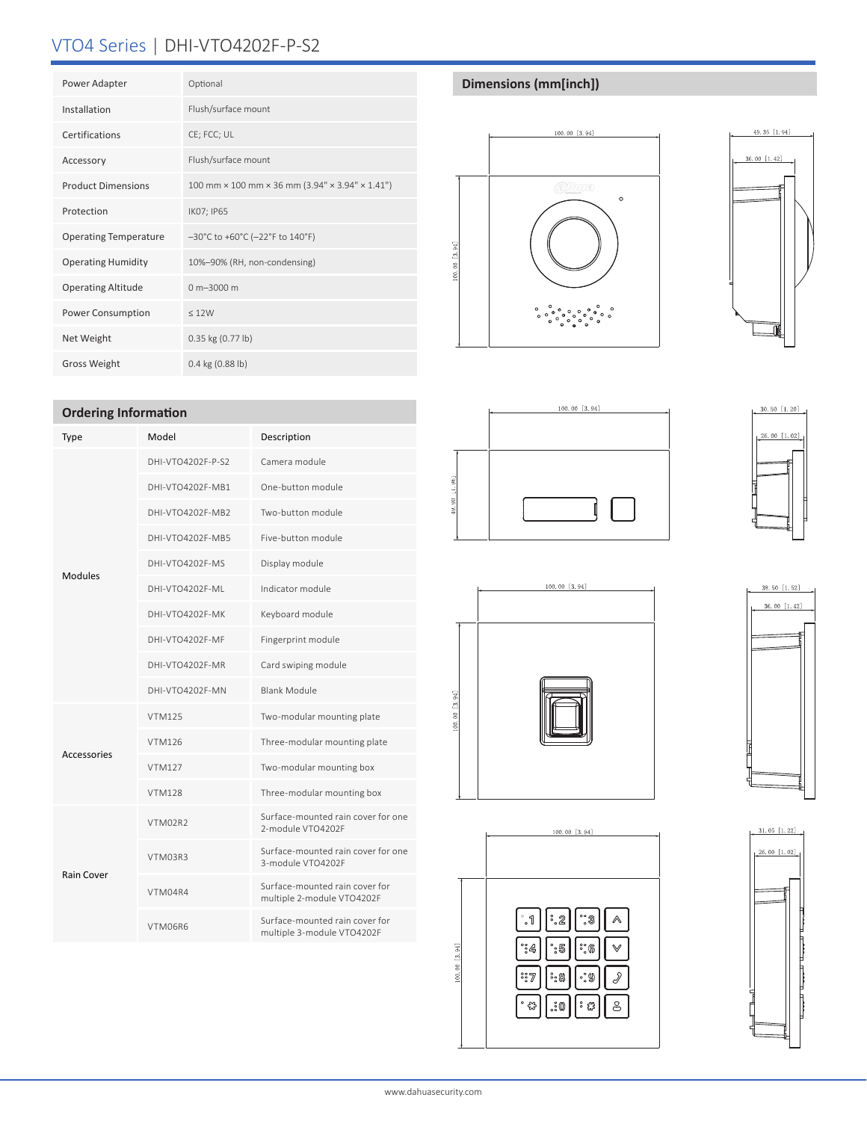# VTO4 Series | DHI-VTO4202F-P-S2

| Power Adapter                | Optional                                                                    |
|------------------------------|-----------------------------------------------------------------------------|
| Installation                 | Flush/surface mount                                                         |
| Certifications               | CE; FCC; UL                                                                 |
| Accessory                    | Flush/surface mount                                                         |
| <b>Product Dimensions</b>    | 100 mm $\times$ 100 mm $\times$ 36 mm (3.94" $\times$ 3.94" $\times$ 1.41") |
| Protection                   | IK07; IP65                                                                  |
| <b>Operating Temperature</b> | -30°C to +60°C (-22°F to 140°F)                                             |
| <b>Operating Humidity</b>    | 10%-90% (RH, non-condensing)                                                |
| <b>Operating Altitude</b>    | $0 m - 3000 m$                                                              |
| Power Consumption            | < 12W                                                                       |
| Net Weight                   | 0.35 kg (0.77 lb)                                                           |
| <b>Gross Weight</b>          | $0.4$ kg $(0.88$ lb)                                                        |

### **Ordering Information**

| Type               | Model             | Description                                                  |
|--------------------|-------------------|--------------------------------------------------------------|
| Modules            | DHI-VTO4202F-P-S2 | Camera module                                                |
|                    | DHI-VTO4202F-MB1  | One-button module                                            |
|                    | DHI-VTO4202F-MB2  | Two-button module                                            |
|                    | DHI-VTO4202F-MB5  | Five-button module                                           |
|                    | DHI-VTO4202F-MS   | Display module                                               |
|                    | DHI-VTO4202F-ML   | Indicator module                                             |
|                    | DHI-VTO4202F-MK   | Keyboard module                                              |
|                    | DHI-VTO4202F-MF   | Fingerprint module                                           |
|                    | DHI-VTO4202F-MR   | Card swiping module                                          |
|                    | DHI-VTO4202F-MN   | <b>Blank Module</b>                                          |
| <b>Accessories</b> | <b>VTM125</b>     | Two-modular mounting plate                                   |
|                    | <b>VTM126</b>     | Three-modular mounting plate                                 |
|                    | <b>VTM127</b>     | Two-modular mounting box                                     |
|                    | <b>VTM128</b>     | Three-modular mounting box                                   |
| <b>Rain Cover</b>  | VTM02R2           | Surface-mounted rain cover for one<br>2-module VTO4202F      |
|                    | VTM03R3           | Surface-mounted rain cover for one<br>3-module VTO4202F      |
|                    | VTM04R4           | Surface-mounted rain cover for<br>multiple 2-module VTO4202F |
|                    | VTM06R6           | Surface-mounted rain cover for<br>multiple 3-module VTO4202F |

# **Dimensions (mm[inch])**